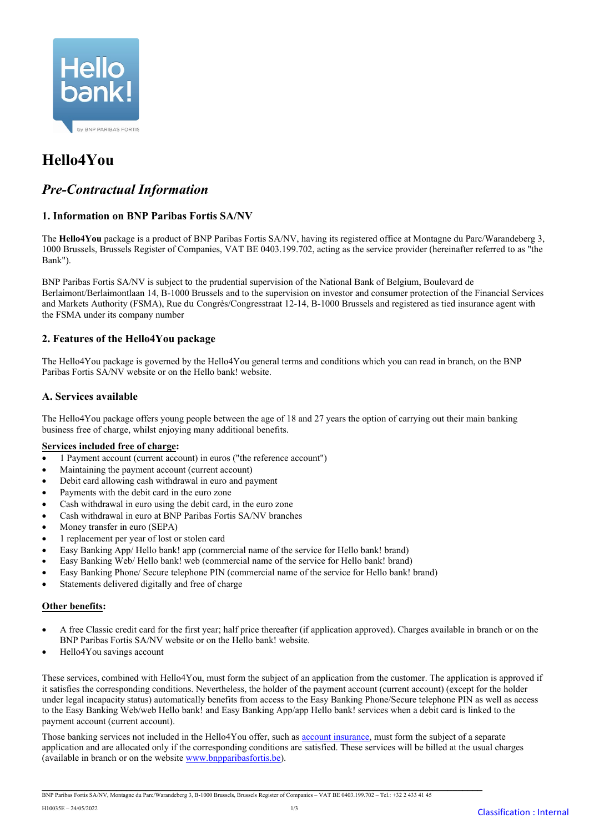

# **Hello4You**

# *Pre-Contractual Information*

# **1. Information on BNP Paribas Fortis SA/NV**

The **Hello4You** package is a product of BNP Paribas Fortis SA/NV, having its registered office at Montagne du Parc/Warandeberg 3, 1000 Brussels, Brussels Register of Companies, VAT BE 0403.199.702, acting as the service provider (hereinafter referred to as "the Bank").

BNP Paribas Fortis SA/NV is subject to the prudential supervision of the National Bank of Belgium, Boulevard de Berlaimont/Berlaimontlaan 14, B-1000 Brussels and to the supervision on investor and consumer protection of the Financial Services and Markets Authority (FSMA), Rue du Congrès/Congresstraat 12-14, B-1000 Brussels and registered as tied insurance agent with the FSMA under its company number

# **2. Features of the Hello4You package**

The Hello4You package is governed by the Hello4You general terms and conditions which you can read in branch, on the BNP Paribas Fortis SA/NV website or on the Hello bank! website.

# **A. Services available**

The Hello4You package offers young people between the age of 18 and 27 years the option of carrying out their main banking business free of charge, whilst enjoying many additional benefits.

## **Services included free of charge:**

- 1 Payment account (current account) in euros ("the reference account")
- Maintaining the payment account (current account)
- Debit card allowing cash withdrawal in euro and payment
- Payments with the debit card in the euro zone
- Cash withdrawal in euro using the debit card, in the euro zone
- Cash withdrawal in euro at BNP Paribas Fortis SA/NV branches
- Money transfer in euro (SEPA)
- 1 replacement per year of lost or stolen card
- Easy Banking App/ Hello bank! app (commercial name of the service for Hello bank! brand)
- Easy Banking Web/ Hello bank! web (commercial name of the service for Hello bank! brand)
- Easy Banking Phone/ Secure telephone PIN (commercial name of the service for Hello bank! brand)
- Statements delivered digitally and free of charge

## **Other benefits:**

- A free Classic credit card for the first year; half price thereafter (if application approved). Charges available in branch or on the BNP Paribas Fortis SA/NV website or on the Hello bank! website.
- Hello4You savings account

These services, combined with Hello4You, must form the subject of an application from the customer. The application is approved if it satisfies the corresponding conditions. Nevertheless, the holder of the payment account (current account) (except for the holder under legal incapacity status) automatically benefits from access to the Easy Banking Phone/Secure telephone PIN as well as access to the Easy Banking Web/web Hello bank! and Easy Banking App/app Hello bank! services when a debit card is linked to the payment account (current account).

Those banking services not included in the Hello4You offer, such as account [insurance,](http://i-net-docserver.be.fortis.bank/docserver/getpdf.asp?pdf=F2842F) must form the subject of a separate application and are allocated only if the corresponding conditions are satisfied. These services will be billed at the usual charges (available in branch or on the website [www.bnpparibasfortis.be\)](http://www.bnpparibasfortis.be/).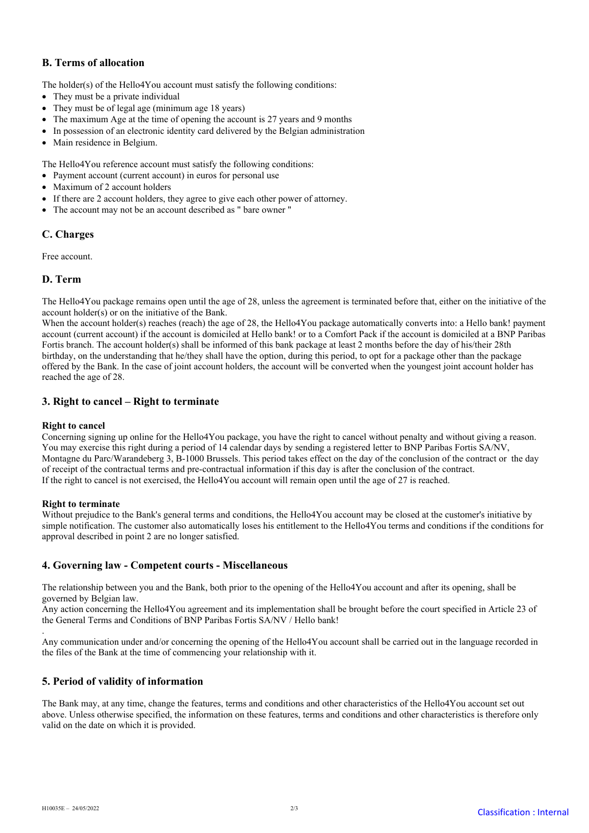# **B. Terms of allocation**

The holder(s) of the Hello4You account must satisfy the following conditions:

- They must be a private individual
- They must be of legal age (minimum age 18 years)
- The maximum Age at the time of opening the account is 27 years and 9 months
- In possession of an electronic identity card delivered by the Belgian administration
- Main residence in Belgium.

The Hello4You reference account must satisfy the following conditions:

- Payment account (current account) in euros for personal use
- Maximum of 2 account holders
- If there are 2 account holders, they agree to give each other power of attorney.
- The account may not be an account described as " bare owner "

# **C. Charges**

Free account.

# **D. Term**

The Hello4You package remains open until the age of 28, unless the agreement is terminated before that, either on the initiative of the account holder(s) or on the initiative of the Bank.

When the account holder(s) reaches (reach) the age of 28, the Hello4You package automatically converts into: a Hello bank! payment account (current account) if the account is domiciled at Hello bank! or to a Comfort Pack if the account is domiciled at a BNP Paribas Fortis branch. The account holder(s) shall be informed of this bank package at least 2 months before the day of his/their 28th birthday, on the understanding that he/they shall have the option, during this period, to opt for a package other than the package offered by the Bank. In the case of joint account holders, the account will be converted when the youngest joint account holder has reached the age of 28.

# **3. Right to cancel – Right to terminate**

## **Right to cancel**

Concerning signing up online for the Hello4You package, you have the right to cancel without penalty and without giving a reason. You may exercise this right during a period of 14 calendar days by sending a registered letter to BNP Paribas Fortis SA/NV, Montagne du Parc/Warandeberg 3, B-1000 Brussels. This period takes effect on the day of the conclusion of the contract or the day of receipt of the contractual terms and pre-contractual information if this day is after the conclusion of the contract. If the right to cancel is not exercised, the Hello4You account will remain open until the age of 27 is reached.

## **Right to terminate**

Without prejudice to the Bank's general terms and conditions, the Hello4You account may be closed at the customer's initiative by simple notification. The customer also automatically loses his entitlement to the Hello4You terms and conditions if the conditions for approval described in point 2 are no longer satisfied.

## **4. Governing law - Competent courts - Miscellaneous**

The relationship between you and the Bank, both prior to the opening of the Hello4You account and after its opening, shall be governed by Belgian law.

Any action concerning the Hello4You agreement and its implementation shall be brought before the court specified in Article 23 of the General Terms and Conditions of BNP Paribas Fortis SA/NV / Hello bank!

. Any communication under and/or concerning the opening of the Hello4You account shall be carried out in the language recorded in the files of the Bank at the time of commencing your relationship with it.

## **5. Period of validity of information**

The Bank may, at any time, change the features, terms and conditions and other characteristics of the Hello4You account set out above. Unless otherwise specified, the information on these features, terms and conditions and other characteristics is therefore only valid on the date on which it is provided.